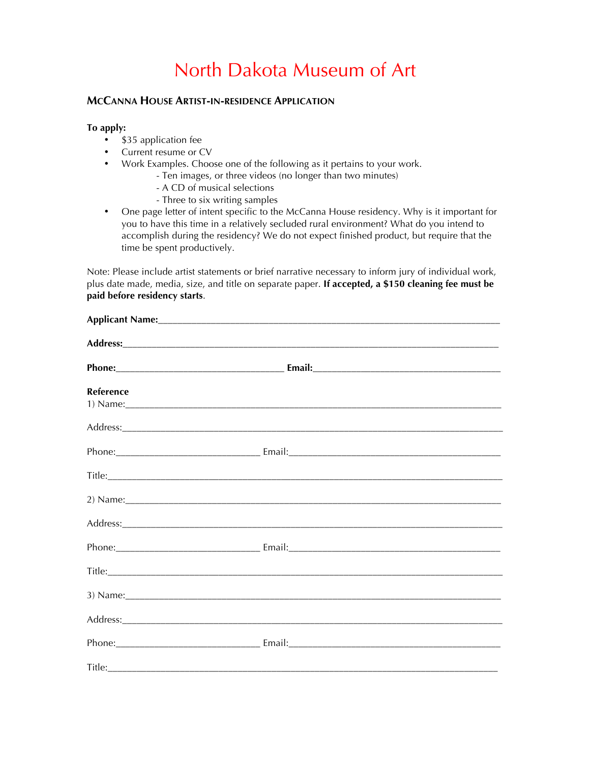# North Dakota Museum of Art

# **MCCANNA HOUSE ARTIST-IN-RESIDENCE APPLICATION**

## **To apply:**

- \$35 application fee
- Current resume or CV
- Work Examples. Choose one of the following as it pertains to your work.
	- Ten images, or three videos (no longer than two minutes)
	- A CD of musical selections
	- Three to six writing samples
- One page letter of intent specific to the McCanna House residency. Why is it important for you to have this time in a relatively secluded rural environment? What do you intend to accomplish during the residency? We do not expect finished product, but require that the time be spent productively.

Note: Please include artist statements or brief narrative necessary to inform jury of individual work, plus date made, media, size, and title on separate paper. **If accepted, a \$150 cleaning fee must be paid before residency starts**.

| Reference | 1) Name: 2008 and 2008 and 2008 and 2008 and 2008 and 2008 and 2008 and 2008 and 2008 and 2008 and 2008 and 200 |  |
|-----------|-----------------------------------------------------------------------------------------------------------------|--|
|           |                                                                                                                 |  |
|           |                                                                                                                 |  |
|           |                                                                                                                 |  |
|           | 2) Name: 2008 and 2008 and 2008 and 2008 and 2008 and 2008 and 2008 and 2008 and 2008 and 2008 and 2008 and 200 |  |
|           |                                                                                                                 |  |
|           |                                                                                                                 |  |
|           |                                                                                                                 |  |
|           | 3) Name: 2008 and 2008 and 2008 and 2008 and 2008 and 2008 and 2008 and 2008 and 2008 and 2008 and 2008 and 200 |  |
|           |                                                                                                                 |  |
|           |                                                                                                                 |  |
|           |                                                                                                                 |  |